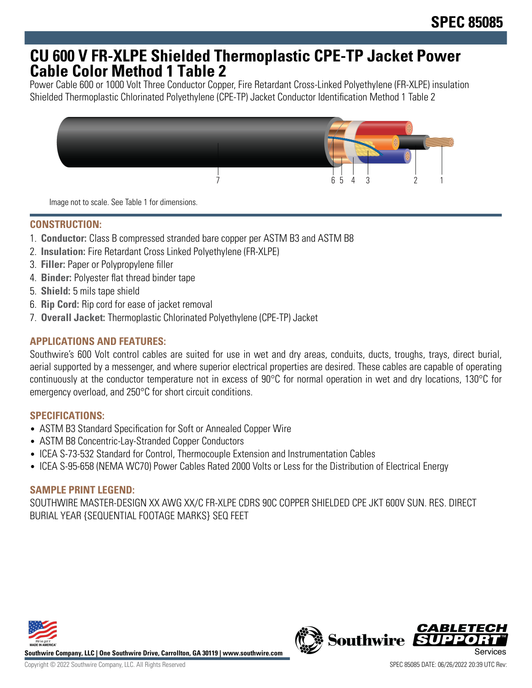# **CU 600 V FR-XLPE Shielded Thermoplastic CPE-TP Jacket Power Cable Color Method 1 Table 2**

Power Cable 600 or 1000 Volt Three Conductor Copper, Fire Retardant Cross-Linked Polyethylene (FR-XLPE) insulation Shielded Thermoplastic Chlorinated Polyethylene (CPE-TP) Jacket Conductor Identification Method 1 Table 2



Image not to scale. See Table 1 for dimensions.

## **CONSTRUCTION:**

- 1. **Conductor:** Class B compressed stranded bare copper per ASTM B3 and ASTM B8
- 2. **Insulation:** Fire Retardant Cross Linked Polyethylene (FR-XLPE)
- 3. **Filler:** Paper or Polypropylene filler
- 4. **Binder:** Polyester flat thread binder tape
- 5. **Shield:** 5 mils tape shield
- 6. **Rip Cord:** Rip cord for ease of jacket removal
- 7. **Overall Jacket:** Thermoplastic Chlorinated Polyethylene (CPE-TP) Jacket

## **APPLICATIONS AND FEATURES:**

Southwire's 600 Volt control cables are suited for use in wet and dry areas, conduits, ducts, troughs, trays, direct burial, aerial supported by a messenger, and where superior electrical properties are desired. These cables are capable of operating continuously at the conductor temperature not in excess of 90°C for normal operation in wet and dry locations, 130°C for emergency overload, and 250°C for short circuit conditions.

#### **SPECIFICATIONS:**

- ASTM B3 Standard Specification for Soft or Annealed Copper Wire
- ASTM B8 Concentric-Lay-Stranded Copper Conductors
- ICEA S-73-532 Standard for Control, Thermocouple Extension and Instrumentation Cables
- ICEA S-95-658 (NEMA WC70) Power Cables Rated 2000 Volts or Less for the Distribution of Electrical Energy

#### **SAMPLE PRINT LEGEND:**

SOUTHWIRE MASTER-DESIGN XX AWG XX/C FR-XLPE CDRS 90C COPPER SHIELDED CPE JKT 600V SUN. RES. DIRECT BURIAL YEAR {SEQUENTIAL FOOTAGE MARKS} SEQ FEET



**Southwire Company, LLC | One Southwire Drive, Carrollton, GA 30119 | www.southwire.com**